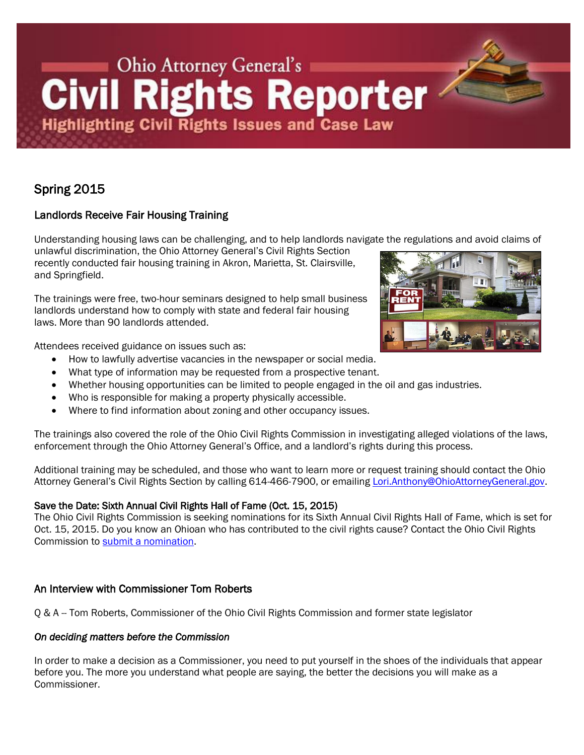# Ohio Attorney General's **Civil Rights Reporter Highlighting Civil Rights Issues and Case Law**

# Spring 2015

# Landlords Receive Fair Housing Training

Understanding housing laws can be challenging, and to help landlords navigate the regulations and avoid claims of

unlawful discrimination, the Ohio Attorney General's Civil Rights Section recently conducted fair housing training in Akron, Marietta, St. Clairsville, and Springfield.

The trainings were free, two-hour seminars designed to help small business landlords understand how to comply with state and federal fair housing laws. More than 90 landlords attended.

Attendees received guidance on issues such as:

- How to lawfully advertise vacancies in the newspaper or social media.
- What type of information may be requested from a prospective tenant.
- Whether housing opportunities can be limited to people engaged in the oil and gas industries.
- Who is responsible for making a property physically accessible.
- Where to find information about zoning and other occupancy issues.

The trainings also covered the role of the Ohio Civil Rights Commission in investigating alleged violations of the laws, enforcement through the Ohio Attorney General's Office, and a landlord's rights during this process.

Additional training may be scheduled, and those who want to learn more or request training should contact the Ohio Attorney General's Civil Rights Section by calling 614-466-7900, or emailin[g Lori.Anthony@OhioAttorneyGeneral.gov.](mailto:Lori.Anthony@OhioAttorneyGeneral.gov)

# Save the Date: Sixth Annual Civil Rights Hall of Fame (Oct. 15, 2015)

The Ohio Civil Rights Commission is seeking nominations for its Sixth Annual Civil Rights Hall of Fame, which is set for Oct. 15, 2015. Do you know an Ohioan who has contributed to the civil rights cause? Contact the Ohio Civil Rights Commission to [submit a nomination.](http://crc.ohio.gov/Portals/0/pdf%20docs/Hall%20of%20Fame/2015%20HoF%20Entry%20Form.pdf)

# An Interview with Commissioner Tom Roberts

Q & A -- Tom Roberts, Commissioner of the Ohio Civil Rights Commission and former state legislator

# *On deciding matters before the Commission*

In order to make a decision as a Commissioner, you need to put yourself in the shoes of the individuals that appear before you. The more you understand what people are saying, the better the decisions you will make as a Commissioner.

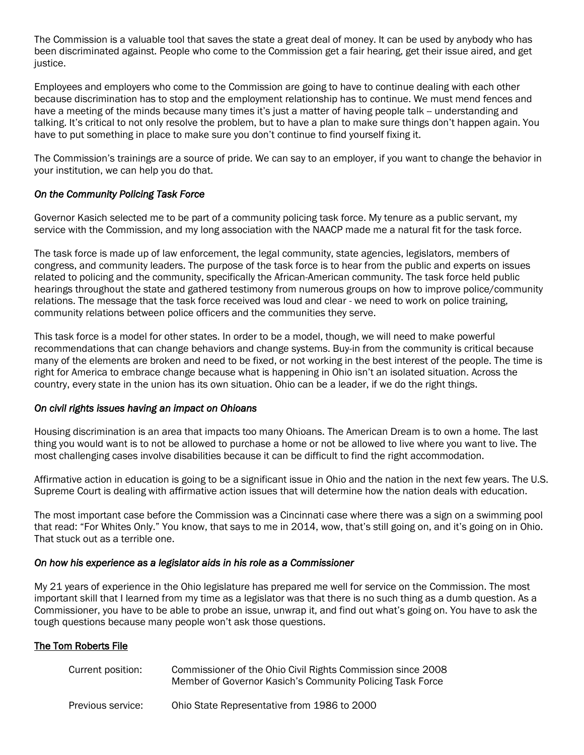The Commission is a valuable tool that saves the state a great deal of money. It can be used by anybody who has been discriminated against. People who come to the Commission get a fair hearing, get their issue aired, and get justice.

Employees and employers who come to the Commission are going to have to continue dealing with each other because discrimination has to stop and the employment relationship has to continue. We must mend fences and have a meeting of the minds because many times it's just a matter of having people talk -- understanding and talking. It's critical to not only resolve the problem, but to have a plan to make sure things don't happen again. You have to put something in place to make sure you don't continue to find yourself fixing it.

The Commission's trainings are a source of pride. We can say to an employer, if you want to change the behavior in your institution, we can help you do that.

#### *On the Community Policing Task Force*

Governor Kasich selected me to be part of a community policing task force. My tenure as a public servant, my service with the Commission, and my long association with the NAACP made me a natural fit for the task force.

The task force is made up of law enforcement, the legal community, state agencies, legislators, members of congress, and community leaders. The purpose of the task force is to hear from the public and experts on issues related to policing and the community, specifically the African-American community. The task force held public hearings throughout the state and gathered testimony from numerous groups on how to improve police/community relations. The message that the task force received was loud and clear - we need to work on police training, community relations between police officers and the communities they serve.

This task force is a model for other states. In order to be a model, though, we will need to make powerful recommendations that can change behaviors and change systems. Buy-in from the community is critical because many of the elements are broken and need to be fixed, or not working in the best interest of the people. The time is right for America to embrace change because what is happening in Ohio isn't an isolated situation. Across the country, every state in the union has its own situation. Ohio can be a leader, if we do the right things.

#### *On civil rights issues having an impact on Ohioans*

Housing discrimination is an area that impacts too many Ohioans. The American Dream is to own a home. The last thing you would want is to not be allowed to purchase a home or not be allowed to live where you want to live. The most challenging cases involve disabilities because it can be difficult to find the right accommodation.

Affirmative action in education is going to be a significant issue in Ohio and the nation in the next few years. The U.S. Supreme Court is dealing with affirmative action issues that will determine how the nation deals with education.

The most important case before the Commission was a Cincinnati case where there was a sign on a swimming pool that read: "For Whites Only." You know, that says to me in 2014, wow, that's still going on, and it's going on in Ohio. That stuck out as a terrible one.

#### *On how his experience as a legislator aids in his role as a Commissioner*

My 21 years of experience in the Ohio legislature has prepared me well for service on the Commission. The most important skill that I learned from my time as a legislator was that there is no such thing as a dumb question. As a Commissioner, you have to be able to probe an issue, unwrap it, and find out what's going on. You have to ask the tough questions because many people won't ask those questions.

#### The Tom Roberts File

| Current position: | Commissioner of the Ohio Civil Rights Commission since 2008<br>Member of Governor Kasich's Community Policing Task Force |
|-------------------|--------------------------------------------------------------------------------------------------------------------------|
| Previous service: | Ohio State Representative from 1986 to 2000                                                                              |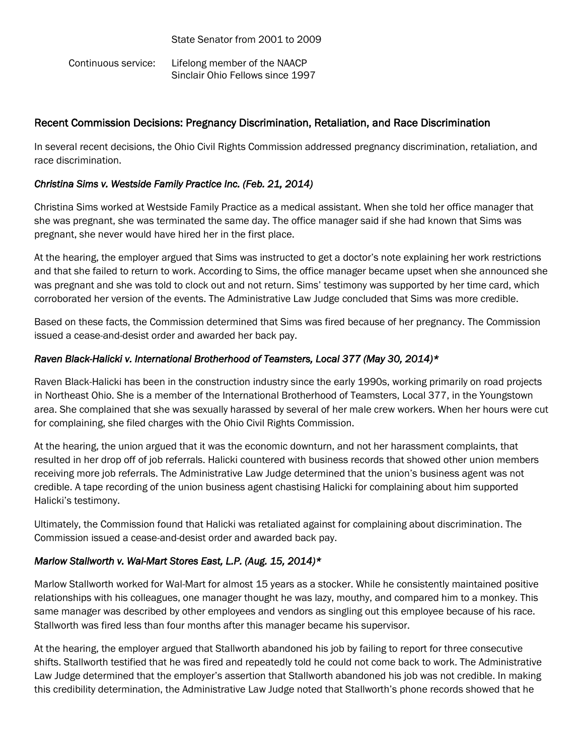Continuous service: Lifelong member of the NAACP Sinclair Ohio Fellows since 1997

# Recent Commission Decisions: Pregnancy Discrimination, Retaliation, and Race Discrimination

In several recent decisions, the Ohio Civil Rights Commission addressed pregnancy discrimination, retaliation, and race discrimination.

# *Christina Sims v. Westside Family Practice Inc. (Feb. 21, 2014)*

Christina Sims worked at Westside Family Practice as a medical assistant. When she told her office manager that she was pregnant, she was terminated the same day. The office manager said if she had known that Sims was pregnant, she never would have hired her in the first place.

At the hearing, the employer argued that Sims was instructed to get a doctor's note explaining her work restrictions and that she failed to return to work. According to Sims, the office manager became upset when she announced she was pregnant and she was told to clock out and not return. Sims' testimony was supported by her time card, which corroborated her version of the events. The Administrative Law Judge concluded that Sims was more credible.

Based on these facts, the Commission determined that Sims was fired because of her pregnancy. The Commission issued a cease-and-desist order and awarded her back pay.

# *Raven Black-Halicki v. International Brotherhood of Teamsters, Local 377 (May 30, 2014)\**

Raven Black-Halicki has been in the construction industry since the early 1990s, working primarily on road projects in Northeast Ohio. She is a member of the International Brotherhood of Teamsters, Local 377, in the Youngstown area. She complained that she was sexually harassed by several of her male crew workers. When her hours were cut for complaining, she filed charges with the Ohio Civil Rights Commission.

At the hearing, the union argued that it was the economic downturn, and not her harassment complaints, that resulted in her drop off of job referrals. Halicki countered with business records that showed other union members receiving more job referrals. The Administrative Law Judge determined that the union's business agent was not credible. A tape recording of the union business agent chastising Halicki for complaining about him supported Halicki's testimony.

Ultimately, the Commission found that Halicki was retaliated against for complaining about discrimination. The Commission issued a cease-and-desist order and awarded back pay.

# *Marlow Stallworth v. Wal-Mart Stores East, L.P. (Aug. 15, 2014)\**

Marlow Stallworth worked for Wal-Mart for almost 15 years as a stocker. While he consistently maintained positive relationships with his colleagues, one manager thought he was lazy, mouthy, and compared him to a monkey. This same manager was described by other employees and vendors as singling out this employee because of his race. Stallworth was fired less than four months after this manager became his supervisor.

At the hearing, the employer argued that Stallworth abandoned his job by failing to report for three consecutive shifts. Stallworth testified that he was fired and repeatedly told he could not come back to work. The Administrative Law Judge determined that the employer's assertion that Stallworth abandoned his job was not credible. In making this credibility determination, the Administrative Law Judge noted that Stallworth's phone records showed that he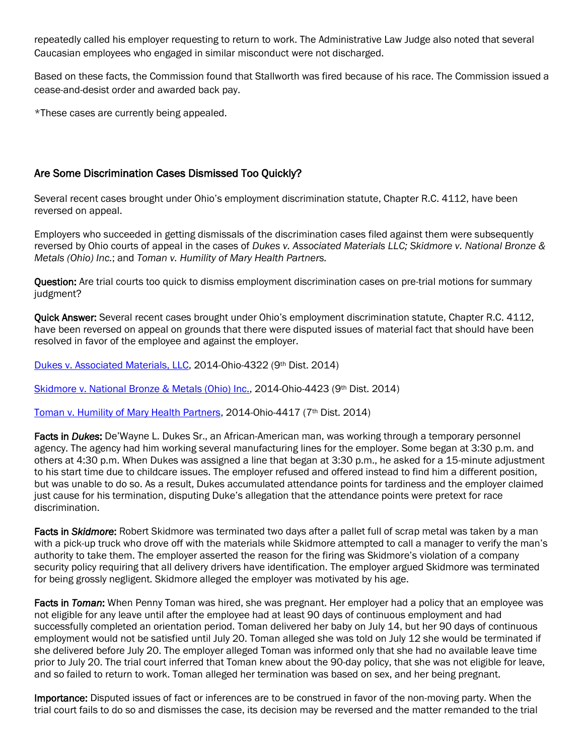repeatedly called his employer requesting to return to work. The Administrative Law Judge also noted that several Caucasian employees who engaged in similar misconduct were not discharged.

Based on these facts, the Commission found that Stallworth was fired because of his race. The Commission issued a cease-and-desist order and awarded back pay.

\*These cases are currently being appealed.

# Are Some Discrimination Cases Dismissed Too Quickly?

Several recent cases brought under Ohio's employment discrimination statute, Chapter R.C. 4112, have been reversed on appeal.

Employers who succeeded in getting dismissals of the discrimination cases filed against them were subsequently reversed by Ohio courts of appeal in the cases of *Dukes v. Associated Materials LLC; Skidmore v. National Bronze & Metals (Ohio) Inc.*; and *Toman v. Humility of Mary Health Partners.*

Question: Are trial courts too quick to dismiss employment discrimination cases on pre-trial motions for summary judgment?

Quick Answer: Several recent cases brought under Ohio's employment discrimination statute, Chapter R.C. 4112, have been reversed on appeal on grounds that there were disputed issues of material fact that should have been resolved in favor of the employee and against the employer.

[Dukes v. Associated Materials, LLC,](http://www.sconet.state.oh.us/rod/docs/pdf/9/2014/2014-ohio-4322.pdf) 2014-Ohio-4322 (9th Dist. 2014)

[Skidmore v. National Bronze & Metals \(Ohio\) Inc.,](http://www.supremecourt.ohio.gov/rod/docs/pdf/9/2014/2014-ohio-4423.pdf) 2014-Ohio-4423 (9th Dist. 2014)

[Toman v. Humility of Mary Health Partners,](https://www.supremecourt.ohio.gov/rod/docs/pdf/7/2014/2014-ohio-4417.pdf) 2014-Ohio-4417 (7th Dist. 2014)

Facts in *Dukes*: De'Wayne L. Dukes Sr., an African-American man, was working through a temporary personnel agency. The agency had him working several manufacturing lines for the employer. Some began at 3:30 p.m. and others at 4:30 p.m. When Dukes was assigned a line that began at 3:30 p.m., he asked for a 15-minute adjustment to his start time due to childcare issues. The employer refused and offered instead to find him a different position, but was unable to do so. As a result, Dukes accumulated attendance points for tardiness and the employer claimed just cause for his termination, disputing Duke's allegation that the attendance points were pretext for race discrimination.

Facts in *Skidmore*: Robert Skidmore was terminated two days after a pallet full of scrap metal was taken by a man with a pick-up truck who drove off with the materials while Skidmore attempted to call a manager to verify the man's authority to take them. The employer asserted the reason for the firing was Skidmore's violation of a company security policy requiring that all delivery drivers have identification. The employer argued Skidmore was terminated for being grossly negligent. Skidmore alleged the employer was motivated by his age.

Facts in *Toman*: When Penny Toman was hired, she was pregnant. Her employer had a policy that an employee was not eligible for any leave until after the employee had at least 90 days of continuous employment and had successfully completed an orientation period. Toman delivered her baby on July 14, but her 90 days of continuous employment would not be satisfied until July 20. Toman alleged she was told on July 12 she would be terminated if she delivered before July 20. The employer alleged Toman was informed only that she had no available leave time prior to July 20. The trial court inferred that Toman knew about the 90-day policy, that she was not eligible for leave, and so failed to return to work. Toman alleged her termination was based on sex, and her being pregnant.

Importance: Disputed issues of fact or inferences are to be construed in favor of the non-moving party. When the trial court fails to do so and dismisses the case, its decision may be reversed and the matter remanded to the trial